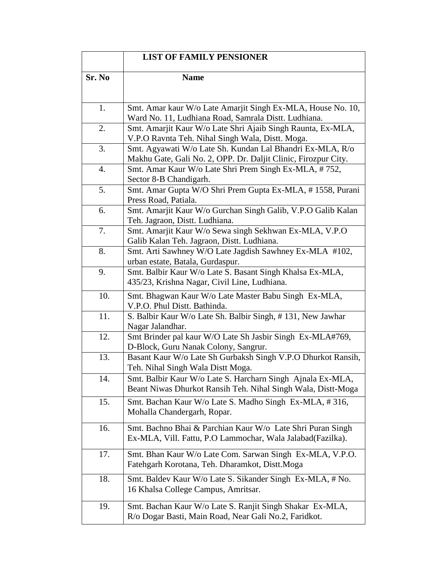|        | <b>LIST OF FAMILY PENSIONER</b>                                                                                             |
|--------|-----------------------------------------------------------------------------------------------------------------------------|
| Sr. No | <b>Name</b>                                                                                                                 |
| 1.     | Smt. Amar kaur W/o Late Amarjit Singh Ex-MLA, House No. 10,<br>Ward No. 11, Ludhiana Road, Samrala Distt. Ludhiana.         |
| 2.     | Smt. Amarjit Kaur W/o Late Shri Ajaib Singh Raunta, Ex-MLA,<br>V.P.O Ravnta Teh. Nihal Singh Wala, Distt. Moga.             |
| 3.     | Smt. Agyawati W/o Late Sh. Kundan Lal Bhandri Ex-MLA, R/o<br>Makhu Gate, Gali No. 2, OPP. Dr. Daljit Clinic, Firozpur City. |
| 4.     | Smt. Amar Kaur W/o Late Shri Prem Singh Ex-MLA, #752,<br>Sector 8-B Chandigarh.                                             |
| 5.     | Smt. Amar Gupta W/O Shri Prem Gupta Ex-MLA, #1558, Purani<br>Press Road, Patiala.                                           |
| 6.     | Smt. Amarjit Kaur W/o Gurchan Singh Galib, V.P.O Galib Kalan<br>Teh. Jagraon, Distt. Ludhiana.                              |
| 7.     | Smt. Amarjit Kaur W/o Sewa singh Sekhwan Ex-MLA, V.P.O<br>Galib Kalan Teh. Jagraon, Distt. Ludhiana.                        |
| 8.     | Smt. Arti Sawhney W/O Late Jagdish Sawhney Ex-MLA #102,<br>urban estate, Batala, Gurdaspur.                                 |
| 9.     | Smt. Balbir Kaur W/o Late S. Basant Singh Khalsa Ex-MLA,<br>435/23, Krishna Nagar, Civil Line, Ludhiana.                    |
| 10.    | Smt. Bhagwan Kaur W/o Late Master Babu Singh Ex-MLA,<br>V.P.O. Phul Distt. Bathinda.                                        |
| 11.    | S. Balbir Kaur W/o Late Sh. Balbir Singh, #131, New Jawhar<br>Nagar Jalandhar.                                              |
| 12.    | Smt Brinder pal kaur W/O Late Sh Jasbir Singh Ex-MLA#769,<br>D-Block, Guru Nanak Colony, Sangrur.                           |
| 13.    | Basant Kaur W/o Late Sh Gurbaksh Singh V.P.O Dhurkot Ransih,<br>Teh. Nihal Singh Wala Distt Moga.                           |
| 14.    | Smt. Balbir Kaur W/o Late S. Harcharn Singh Ajnala Ex-MLA,<br>Beant Niwas Dhurkot Ransih Teh. Nihal Singh Wala, Distt-Moga  |
| 15.    | Smt. Bachan Kaur W/o Late S. Madho Singh Ex-MLA, #316,<br>Mohalla Chandergarh, Ropar.                                       |
| 16.    | Smt. Bachno Bhai & Parchian Kaur W/o Late Shri Puran Singh<br>Ex-MLA, Vill. Fattu, P.O Lammochar, Wala Jalabad (Fazilka).   |
| 17.    | Smt. Bhan Kaur W/o Late Com. Sarwan Singh Ex-MLA, V.P.O.<br>Fatehgarh Korotana, Teh. Dharamkot, Distt.Moga                  |
| 18.    | Smt. Baldev Kaur W/o Late S. Sikander Singh Ex-MLA, # No.<br>16 Khalsa College Campus, Amritsar.                            |
| 19.    | Smt. Bachan Kaur W/o Late S. Ranjit Singh Shakar Ex-MLA,<br>R/o Dogar Basti, Main Road, Near Gali No.2, Faridkot.           |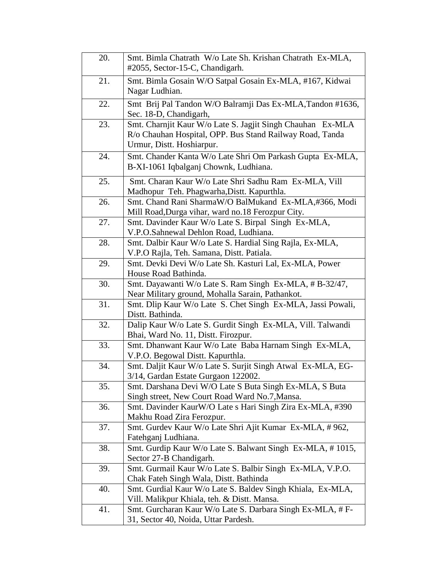| 20. | Smt. Bimla Chatrath W/o Late Sh. Krishan Chatrath Ex-MLA,<br>#2055, Sector-15-C, Chandigarh.                                                        |
|-----|-----------------------------------------------------------------------------------------------------------------------------------------------------|
| 21. | Smt. Bimla Gosain W/O Satpal Gosain Ex-MLA, #167, Kidwai<br>Nagar Ludhian.                                                                          |
| 22. | Smt Brij Pal Tandon W/O Balramji Das Ex-MLA, Tandon #1636,<br>Sec. 18-D, Chandigarh,                                                                |
| 23. | Smt. Charnjit Kaur W/o Late S. Jagjit Singh Chauhan Ex-MLA<br>R/o Chauhan Hospital, OPP. Bus Stand Railway Road, Tanda<br>Urmur, Distt. Hoshiarpur. |
| 24. | Smt. Chander Kanta W/o Late Shri Om Parkash Gupta Ex-MLA,<br>B-XI-1061 Iqbalganj Chownk, Ludhiana.                                                  |
| 25. | Smt. Charan Kaur W/o Late Shri Sadhu Ram Ex-MLA, Vill<br>Madhopur Teh. Phagwarha, Distt. Kapurthla.                                                 |
| 26. | Smt. Chand Rani SharmaW/O BalMukand Ex-MLA,#366, Modi<br>Mill Road, Durga vihar, ward no.18 Ferozpur City.                                          |
| 27. | Smt. Davinder Kaur W/o Late S. Birpal Singh Ex-MLA,<br>V.P.O.Sahnewal Dehlon Road, Ludhiana.                                                        |
| 28. | Smt. Dalbir Kaur W/o Late S. Hardial Sing Rajla, Ex-MLA,<br>V.P.O Rajla, Teh. Samana, Distt. Patiala.                                               |
| 29. | Smt. Devki Devi W/o Late Sh. Kasturi Lal, Ex-MLA, Power<br>House Road Bathinda.                                                                     |
| 30. | Smt. Dayawanti W/o Late S. Ram Singh Ex-MLA, #B-32/47,<br>Near Military ground, Mohalla Sarain, Pathankot.                                          |
| 31. | Smt. Dlip Kaur W/o Late S. Chet Singh Ex-MLA, Jassi Powali,<br>Distt. Bathinda.                                                                     |
| 32. | Dalip Kaur W/o Late S. Gurdit Singh Ex-MLA, Vill. Talwandi<br>Bhai, Ward No. 11, Distt. Firozpur.                                                   |
| 33. | Smt. Dhanwant Kaur W/o Late Baba Harnam Singh Ex-MLA,<br>V.P.O. Begowal Distt. Kapurthla.                                                           |
| 34. | Smt. Daljit Kaur W/o Late S. Surjit Singh Atwal Ex-MLA, EG-<br>3/14, Gardan Estate Gurgaon 122002.                                                  |
| 35. | Smt. Darshana Devi W/O Late S Buta Singh Ex-MLA, S Buta<br>Singh street, New Court Road Ward No.7, Mansa.                                           |
| 36. | Smt. Davinder KaurW/O Late s Hari Singh Zira Ex-MLA, #390<br>Makhu Road Zira Ferozpur.                                                              |
| 37. | Smt. Gurdev Kaur W/o Late Shri Ajit Kumar Ex-MLA, #962,<br>Fatehganj Ludhiana.                                                                      |
| 38. | Smt. Gurdip Kaur W/o Late S. Balwant Singh Ex-MLA, #1015,<br>Sector 27-B Chandigarh.                                                                |
| 39. | Smt. Gurmail Kaur W/o Late S. Balbir Singh Ex-MLA, V.P.O.<br>Chak Fateh Singh Wala, Distt. Bathinda                                                 |
| 40. | Smt. Gurdial Kaur W/o Late S. Baldev Singh Khiala, Ex-MLA,<br>Vill. Malikpur Khiala, teh. & Distt. Mansa.                                           |
| 41. | Smt. Gurcharan Kaur W/o Late S. Darbara Singh Ex-MLA, # F-<br>31, Sector 40, Noida, Uttar Pardesh.                                                  |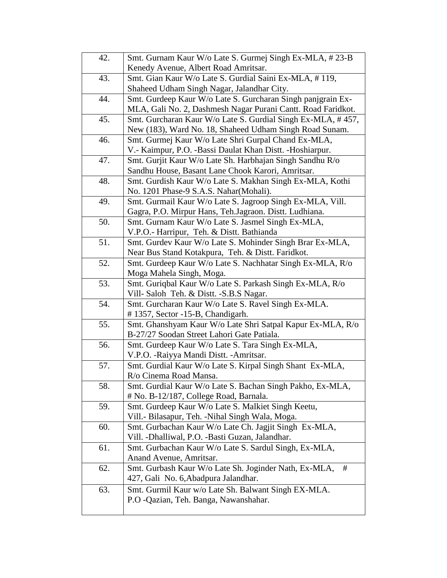| 42. | Smt. Gurnam Kaur W/o Late S. Gurmej Singh Ex-MLA, #23-B                                              |
|-----|------------------------------------------------------------------------------------------------------|
|     | Kenedy Avenue, Albert Road Amritsar.                                                                 |
| 43. | Smt. Gian Kaur W/o Late S. Gurdial Saini Ex-MLA, #119,                                               |
|     | Shaheed Udham Singh Nagar, Jalandhar City.                                                           |
| 44. | Smt. Gurdeep Kaur W/o Late S. Gurcharan Singh panjgrain Ex-                                          |
|     | MLA, Gali No. 2, Dashmesh Nagar Purani Cantt. Road Faridkot.                                         |
| 45. | Smt. Gurcharan Kaur W/o Late S. Gurdial Singh Ex-MLA, #457,                                          |
|     | New (183), Ward No. 18, Shaheed Udham Singh Road Sunam.                                              |
| 46. | Smt. Gurmej Kaur W/o Late Shri Gurpal Chand Ex-MLA,                                                  |
|     | V.- Kaimpur, P.O. -Bassi Daulat Khan Distt. -Hoshiarpur.                                             |
| 47. | Smt. Gurjit Kaur W/o Late Sh. Harbhajan Singh Sandhu R/o                                             |
|     | Sandhu House, Basant Lane Chook Karori, Amritsar.                                                    |
| 48. | Smt. Gurdish Kaur W/o Late S. Makhan Singh Ex-MLA, Kothi                                             |
|     | No. 1201 Phase-9 S.A.S. Nahar(Mohali).                                                               |
| 49. | Smt. Gurmail Kaur W/o Late S. Jagroop Singh Ex-MLA, Vill.                                            |
|     | Gagra, P.O. Mirpur Hans, Teh.Jagraon. Distt. Ludhiana.                                               |
| 50. | Smt. Gurnam Kaur W/o Late S. Jasmel Singh Ex-MLA,                                                    |
|     | V.P.O.- Harripur, Teh. & Distt. Bathianda                                                            |
| 51. | Smt. Gurdev Kaur W/o Late S. Mohinder Singh Brar Ex-MLA,                                             |
|     | Near Bus Stand Kotakpura, Teh. & Distt. Faridkot.                                                    |
| 52. | Smt. Gurdeep Kaur W/o Late S. Nachhatar Singh Ex-MLA, R/o                                            |
|     | Moga Mahela Singh, Moga.                                                                             |
| 53. | Smt. Guriqbal Kaur W/o Late S. Parkash Singh Ex-MLA, R/o<br>Vill- Saloh Teh. & Distt. - S.B.S Nagar. |
| 54. | Smt. Gurcharan Kaur W/o Late S. Ravel Singh Ex-MLA.                                                  |
|     | #1357, Sector -15-B, Chandigarh.                                                                     |
| 55. | Smt. Ghanshyam Kaur W/o Late Shri Satpal Kapur Ex-MLA, R/o                                           |
|     | B-27/27 Soodan Street Lahori Gate Patiala.                                                           |
| 56. | Smt. Gurdeep Kaur W/o Late S. Tara Singh Ex-MLA,                                                     |
|     | V.P.O. - Raiyya Mandi Distt. - Amritsar.                                                             |
| 57. | Smt. Gurdial Kaur W/o Late S. Kirpal Singh Shant Ex-MLA,                                             |
|     | R/o Cinema Road Mansa.                                                                               |
| 58. | Smt. Gurdial Kaur W/o Late S. Bachan Singh Pakho, Ex-MLA,                                            |
|     | # No. B-12/187, College Road, Barnala.                                                               |
| 59. | Smt. Gurdeep Kaur W/o Late S. Malkiet Singh Keetu,                                                   |
|     | Vill.- Bilasapur, Teh. -Nihal Singh Wala, Moga.                                                      |
| 60. | Smt. Gurbachan Kaur W/o Late Ch. Jagjit Singh Ex-MLA,                                                |
|     | Vill. -Dhalliwal, P.O. -Basti Guzan, Jalandhar.                                                      |
| 61. | Smt. Gurbachan Kaur W/o Late S. Sardul Singh, Ex-MLA,                                                |
|     | Anand Avenue, Amritsar.                                                                              |
| 62. | Smt. Gurbash Kaur W/o Late Sh. Joginder Nath, Ex-MLA,<br>#                                           |
|     | 427, Gali No. 6, Abadpura Jalandhar.                                                                 |
| 63. | Smt. Gurmil Kaur w/o Late Sh. Balwant Singh EX-MLA.                                                  |
|     | P.O -Qazian, Teh. Banga, Nawanshahar.                                                                |
|     |                                                                                                      |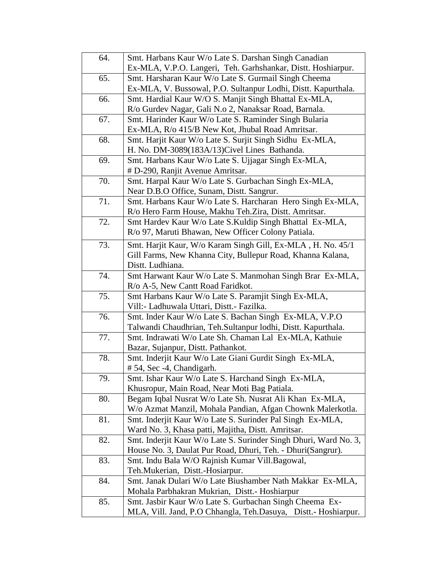| 64. | Smt. Harbans Kaur W/o Late S. Darshan Singh Canadian                                |
|-----|-------------------------------------------------------------------------------------|
|     | Ex-MLA, V.P.O. Langeri, Teh. Garhshankar, Distt. Hoshiarpur.                        |
| 65. | Smt. Harsharan Kaur W/o Late S. Gurmail Singh Cheema                                |
|     | Ex-MLA, V. Bussowal, P.O. Sultanpur Lodhi, Distt. Kapurthala.                       |
| 66. | Smt. Hardial Kaur W/O S. Manjit Singh Bhattal Ex-MLA,                               |
|     | R/o Gurdev Nagar, Gali N.o 2, Nanaksar Road, Barnala.                               |
| 67. | Smt. Harinder Kaur W/o Late S. Raminder Singh Bularia                               |
|     | Ex-MLA, R/o 415/B New Kot, Jhubal Road Amritsar.                                    |
| 68. | Smt. Harjit Kaur W/o Late S. Surjit Singh Sidhu Ex-MLA,                             |
|     | H. No. DM-3089(183A/13)Civel Lines Bathanda.                                        |
| 69. | Smt. Harbans Kaur W/o Late S. Ujjagar Singh Ex-MLA,                                 |
|     | # D-290, Ranjit Avenue Amritsar.                                                    |
| 70. | Smt. Harpal Kaur W/o Late S. Gurbachan Singh Ex-MLA,                                |
|     | Near D.B.O Office, Sunam, Distt. Sangrur.                                           |
| 71. | Smt. Harbans Kaur W/o Late S. Harcharan Hero Singh Ex-MLA,                          |
|     | R/o Hero Farm House, Makhu Teh.Zira, Distt. Amritsar.                               |
| 72. | Smt Hardev Kaur W/o Late S. Kuldip Singh Bhattal Ex-MLA,                            |
|     | R/o 97, Maruti Bhawan, New Officer Colony Patiala.                                  |
| 73. | Smt. Harjit Kaur, W/o Karam Singh Gill, Ex-MLA, H. No. 45/1                         |
|     | Gill Farms, New Khanna City, Bullepur Road, Khanna Kalana,                          |
|     | Distt. Ludhiana.                                                                    |
| 74. | Smt Harwant Kaur W/o Late S. Manmohan Singh Brar Ex-MLA,                            |
|     | R/o A-5, New Cantt Road Faridkot.                                                   |
| 75. | Smt Harbans Kaur W/o Late S. Paramjit Singh Ex-MLA,                                 |
|     | Vill:- Ladhuwala Uttari, Distt.- Fazilka.                                           |
| 76. | Smt. Inder Kaur W/o Late S. Bachan Singh Ex-MLA, V.P.O                              |
|     | Talwandi Chaudhrian, Teh.Sultanpur lodhi, Distt. Kapurthala.                        |
| 77. | Smt. Indrawati W/o Late Sh. Chaman Lal Ex-MLA, Kathuie                              |
| 78. | Bazar, Sujanpur, Distt. Pathankot.                                                  |
|     | Smt. Inderjit Kaur W/o Late Giani Gurdit Singh Ex-MLA,<br># 54, Sec -4, Chandigarh. |
| 79. | Smt. Ishar Kaur W/o Late S. Harchand Singh Ex-MLA,                                  |
|     | Khusropur, Main Road, Near Moti Bag Patiala.                                        |
| 80. | Begam Iqbal Nusrat W/o Late Sh. Nusrat Ali Khan Ex-MLA,                             |
|     | W/o Azmat Manzil, Mohala Pandian, Afgan Chownk Malerkotla.                          |
| 81. | Smt. Inderjit Kaur W/o Late S. Surinder Pal Singh Ex-MLA,                           |
|     | Ward No. 3, Khasa patti, Majitha, Distt. Amritsar.                                  |
| 82. | Smt. Inderjit Kaur W/o Late S. Surinder Singh Dhuri, Ward No. 3,                    |
|     | House No. 3, Daulat Pur Road, Dhuri, Teh. - Dhuri(Sangrur).                         |
| 83. | Smt. Indu Bala W/O Rajnish Kumar Vill.Bagowal,                                      |
|     | Teh.Mukerian, Distt.-Hosiarpur.                                                     |
| 84. | Smt. Janak Dulari W/o Late Biushamber Nath Makkar Ex-MLA,                           |
|     | Mohala Parbhakran Mukrian, Distt.- Hoshiarpur                                       |
| 85. | Smt. Jasbir Kaur W/o Late S. Gurbachan Singh Cheema Ex-                             |
|     | MLA, Vill. Jand, P.O Chhangla, Teh.Dasuya, Distt.- Hoshiarpur.                      |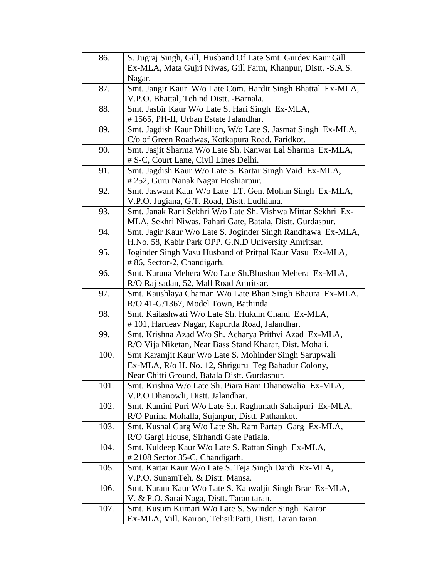| 86.  | S. Jugraj Singh, Gill, Husband Of Late Smt. Gurdev Kaur Gill                                                   |
|------|----------------------------------------------------------------------------------------------------------------|
|      | Ex-MLA, Mata Gujri Niwas, Gill Farm, Khanpur, Distt. -S.A.S.                                                   |
|      | Nagar.                                                                                                         |
| 87.  | Smt. Jangir Kaur W/o Late Com. Hardit Singh Bhattal Ex-MLA,                                                    |
|      | V.P.O. Bhattal, Teh nd Distt. -Barnala.                                                                        |
| 88.  | Smt. Jasbir Kaur W/o Late S. Hari Singh Ex-MLA,                                                                |
|      | #1565, PH-II, Urban Estate Jalandhar.                                                                          |
| 89.  | Smt. Jagdish Kaur Dhillion, W/o Late S. Jasmat Singh Ex-MLA,                                                   |
|      | C/o of Green Roadwas, Kotkapura Road, Faridkot.                                                                |
| 90.  | Smt. Jasjit Sharma W/o Late Sh. Kanwar Lal Sharma Ex-MLA,                                                      |
|      | # S-C, Court Lane, Civil Lines Delhi.                                                                          |
| 91.  | Smt. Jagdish Kaur W/o Late S. Kartar Singh Vaid Ex-MLA,                                                        |
|      | #252, Guru Nanak Nagar Hoshiarpur.                                                                             |
| 92.  | Smt. Jaswant Kaur W/o Late LT. Gen. Mohan Singh Ex-MLA,                                                        |
|      | V.P.O. Jugiana, G.T. Road, Distt. Ludhiana.                                                                    |
| 93.  | Smt. Janak Rani Sekhri W/o Late Sh. Vishwa Mittar Sekhri Ex-                                                   |
|      | MLA, Sekhri Niwas, Pahari Gate, Batala, Distt. Gurdaspur.                                                      |
| 94.  | Smt. Jagir Kaur W/o Late S. Joginder Singh Randhawa Ex-MLA,                                                    |
|      | H.No. 58, Kabir Park OPP. G.N.D University Amritsar.                                                           |
| 95.  | Joginder Singh Vasu Husband of Pritpal Kaur Vasu Ex-MLA,                                                       |
|      | # 86, Sector-2, Chandigarh.                                                                                    |
| 96.  | Smt. Karuna Mehera W/o Late Sh. Bhushan Mehera Ex-MLA,                                                         |
|      | R/O Raj sadan, 52, Mall Road Amritsar.                                                                         |
|      |                                                                                                                |
| 97.  | Smt. Kaushlaya Chaman W/o Late Bhan Singh Bhaura Ex-MLA,                                                       |
|      | R/O 41-G/1367, Model Town, Bathinda.                                                                           |
| 98.  | Smt. Kailashwati W/o Late Sh. Hukum Chand Ex-MLA,                                                              |
|      | #101, Hardeav Nagar, Kapurtla Road, Jalandhar.                                                                 |
| 99.  | Smt. Krishna Azad W/o Sh. Acharya Prithvi Azad Ex-MLA,                                                         |
|      | R/O Vija Niketan, Near Bass Stand Kharar, Dist. Mohali.                                                        |
| 100. | Smt Karamjit Kaur W/o Late S. Mohinder Singh Sarupwali                                                         |
|      | Ex-MLA, R/o H. No. 12, Shriguru Teg Bahadur Colony,                                                            |
|      | Near Chitti Ground, Batala Distt. Gurdaspur.                                                                   |
| 101. | Smt. Krishna W/o Late Sh. Piara Ram Dhanowalia Ex-MLA,                                                         |
|      | V.P.O Dhanowli, Distt. Jalandhar.                                                                              |
| 102. | Smt. Kamini Puri W/o Late Sh. Raghunath Sahaipuri Ex-MLA,                                                      |
|      | R/O Purina Mohalla, Sujanpur, Distt. Pathankot.                                                                |
| 103. | Smt. Kushal Garg W/o Late Sh. Ram Partap Garg Ex-MLA,                                                          |
|      | R/O Gargi House, Sirhandi Gate Patiala.                                                                        |
| 104. | Smt. Kuldeep Kaur W/o Late S. Rattan Singh Ex-MLA,                                                             |
|      | #2108 Sector 35-C, Chandigarh.                                                                                 |
| 105. | Smt. Kartar Kaur W/o Late S. Teja Singh Dardi Ex-MLA,                                                          |
|      | V.P.O. SunamTeh. & Distt. Mansa.                                                                               |
| 106. | Smt. Karam Kaur W/o Late S. Kanwaljit Singh Brar Ex-MLA,                                                       |
|      | V. & P.O. Sarai Naga, Distt. Taran taran.                                                                      |
| 107. | Smt. Kusum Kumari W/o Late S. Swinder Singh Kairon<br>Ex-MLA, Vill. Kairon, Tehsil: Patti, Distt. Taran taran. |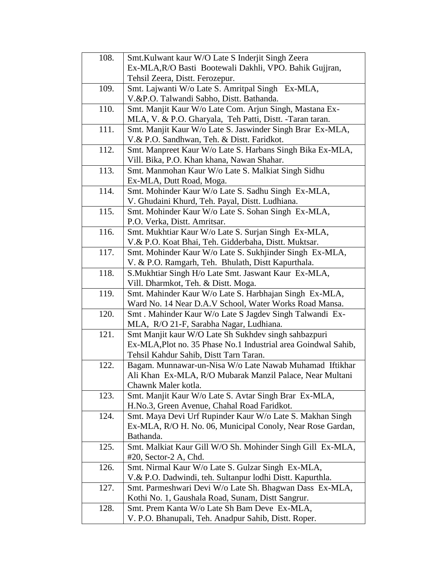| 108. | Smt. Kulwant kaur W/O Late S Inderjit Singh Zeera              |
|------|----------------------------------------------------------------|
|      | Ex-MLA, R/O Basti Bootewali Dakhli, VPO. Bahik Gujjran,        |
|      | Tehsil Zeera, Distt. Ferozepur.                                |
| 109. | Smt. Lajwanti W/o Late S. Amritpal Singh Ex-MLA,               |
|      | V.&P.O. Talwandi Sabho, Distt. Bathanda.                       |
| 110. | Smt. Manjit Kaur W/o Late Com. Arjun Singh, Mastana Ex-        |
|      | MLA, V. & P.O. Gharyala, Teh Patti, Distt. -Taran taran.       |
| 111. | Smt. Manjit Kaur W/o Late S. Jaswinder Singh Brar Ex-MLA,      |
|      | V.& P.O. Sandhwan, Teh. & Distt. Faridkot.                     |
| 112. | Smt. Manpreet Kaur W/o Late S. Harbans Singh Bika Ex-MLA,      |
|      | Vill. Bika, P.O. Khan khana, Nawan Shahar.                     |
| 113. | Smt. Manmohan Kaur W/o Late S. Malkiat Singh Sidhu             |
|      | Ex-MLA, Dutt Road, Moga.                                       |
| 114. | Smt. Mohinder Kaur W/o Late S. Sadhu Singh Ex-MLA,             |
|      | V. Ghudaini Khurd, Teh. Payal, Distt. Ludhiana.                |
| 115. | Smt. Mohinder Kaur W/o Late S. Sohan Singh Ex-MLA,             |
|      | P.O. Verka, Distt. Amritsar.                                   |
| 116. | Smt. Mukhtiar Kaur W/o Late S. Surjan Singh Ex-MLA,            |
|      | V.& P.O. Koat Bhai, Teh. Gidderbaha, Distt. Muktsar.           |
| 117. | Smt. Mohinder Kaur W/o Late S. Sukhjinder Singh Ex-MLA,        |
|      | V. & P.O. Ramgarh, Teh. Bhulath, Distt Kapurthala.             |
| 118. | S. Mukhtiar Singh H/o Late Smt. Jaswant Kaur Ex-MLA,           |
|      | Vill. Dharmkot, Teh. & Distt. Moga.                            |
| 119. | Smt. Mahinder Kaur W/o Late S. Harbhajan Singh Ex-MLA,         |
|      | Ward No. 14 Near D.A.V School, Water Works Road Mansa.         |
| 120. | Smt. Mahinder Kaur W/o Late S Jagdev Singh Talwandi Ex-        |
|      | MLA, R/O 21-F, Sarabha Nagar, Ludhiana.                        |
| 121. | Smt Manjit kaur W/O Late Sh Sukhdev singh sahbazpuri           |
|      | Ex-MLA, Plot no. 35 Phase No.1 Industrial area Goindwal Sahib, |
|      | Tehsil Kahdur Sahib, Distt Tarn Taran.                         |
| 122. | Bagam. Munnawar-un-Nisa W/o Late Nawab Muhamad Iftikhar        |
|      | Ali Khan Ex-MLA, R/O Mubarak Manzil Palace, Near Multani       |
|      | Chawnk Maler kotla.                                            |
| 123. | Smt. Manjit Kaur W/o Late S. Avtar Singh Brar Ex-MLA,          |
|      | H.No.3, Green Avenue, Chahal Road Faridkot.                    |
| 124. | Smt. Maya Devi Urf Rupinder Kaur W/o Late S. Makhan Singh      |
|      | Ex-MLA, R/O H. No. 06, Municipal Conoly, Near Rose Gardan,     |
|      | Bathanda.                                                      |
| 125. | Smt. Malkiat Kaur Gill W/O Sh. Mohinder Singh Gill Ex-MLA,     |
|      | $#20$ , Sector-2 A, Chd.                                       |
| 126. | Smt. Nirmal Kaur W/o Late S. Gulzar Singh Ex-MLA,              |
|      | V.& P.O. Dadwindi, teh. Sultanpur lodhi Distt. Kapurthla.      |
| 127. | Smt. Parmeshwari Devi W/o Late Sh. Bhagwan Dass Ex-MLA,        |
|      | Kothi No. 1, Gaushala Road, Sunam, Distt Sangrur.              |
| 128. | Smt. Prem Kanta W/o Late Sh Bam Deve Ex-MLA,                   |
|      | V. P.O. Bhanupali, Teh. Anadpur Sahib, Distt. Roper.           |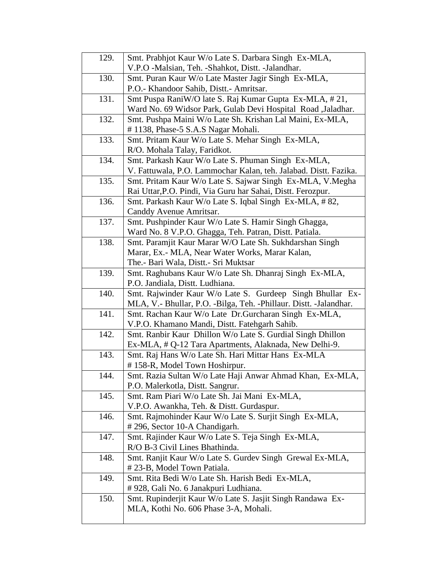| 129. | Smt. Prabhjot Kaur W/o Late S. Darbara Singh Ex-MLA,                                                |
|------|-----------------------------------------------------------------------------------------------------|
|      | V.P.O -Malsian, Teh. -Shahkot, Distt. -Jalandhar.                                                   |
| 130. | Smt. Puran Kaur W/o Late Master Jagir Singh Ex-MLA,                                                 |
|      | P.O.- Khandoor Sahib, Distt.- Amritsar.                                                             |
| 131. | Smt Puspa RaniW/O late S. Raj Kumar Gupta Ex-MLA, # 21,                                             |
|      | Ward No. 69 Widsor Park, Gulab Devi Hospital Road ,Jaladhar.                                        |
| 132. | Smt. Pushpa Maini W/o Late Sh. Krishan Lal Maini, Ex-MLA,                                           |
|      | #1138, Phase-5 S.A.S Nagar Mohali.                                                                  |
| 133. | Smt. Pritam Kaur W/o Late S. Mehar Singh Ex-MLA,                                                    |
|      | R/O. Mohala Talay, Faridkot.                                                                        |
| 134. | Smt. Parkash Kaur W/o Late S. Phuman Singh Ex-MLA,                                                  |
|      | V. Fattuwala, P.O. Lammochar Kalan, teh. Jalabad. Distt. Fazika.                                    |
| 135. | Smt. Pritam Kaur W/o Late S. Sajwar Singh Ex-MLA, V. Megha                                          |
|      | Rai Uttar, P.O. Pindi, Via Guru har Sahai, Distt. Ferozpur.                                         |
| 136. | Smt. Parkash Kaur W/o Late S. Iqbal Singh Ex-MLA, #82,                                              |
|      | Canddy Avenue Amritsar.                                                                             |
| 137. | Smt. Pushpinder Kaur W/o Late S. Hamir Singh Ghagga,                                                |
|      | Ward No. 8 V.P.O. Ghagga, Teh. Patran, Distt. Patiala.                                              |
| 138. | Smt. Paramjit Kaur Marar W/O Late Sh. Sukhdarshan Singh                                             |
|      | Marar, Ex.- MLA, Near Water Works, Marar Kalan,                                                     |
|      | The.- Bari Wala, Distt.- Sri Muktsar                                                                |
| 139. | Smt. Raghubans Kaur W/o Late Sh. Dhanraj Singh Ex-MLA,                                              |
|      | P.O. Jandiala, Distt. Ludhiana.                                                                     |
|      |                                                                                                     |
| 140. | Smt. Rajwinder Kaur W/o Late S. Gurdeep Singh Bhullar Ex-                                           |
|      | MLA, V.- Bhullar, P.O. -Bilga, Teh. -Phillaur. Distt. -Jalandhar.                                   |
| 141. | Smt. Rachan Kaur W/o Late Dr.Gurcharan Singh Ex-MLA,                                                |
|      | V.P.O. Khamano Mandi, Distt. Fatehgarh Sahib.                                                       |
| 142. | Smt. Ranbir Kaur Dhillon W/o Late S. Gurdial Singh Dhillon                                          |
|      | Ex-MLA, # Q-12 Tara Apartments, Alaknada, New Delhi-9.                                              |
| 143. | Smt. Raj Hans W/o Late Sh. Hari Mittar Hans Ex-MLA                                                  |
|      | #158-R, Model Town Hoshirpur.                                                                       |
| 144. | Smt. Razia Sultan W/o Late Haji Anwar Ahmad Khan, Ex-MLA,                                           |
|      | P.O. Malerkotla, Distt. Sangrur.                                                                    |
| 145. | Smt. Ram Piari W/o Late Sh. Jai Mani Ex-MLA,                                                        |
|      | V.P.O. Awankha, Teh. & Distt. Gurdaspur.                                                            |
| 146. | Smt. Rajmohinder Kaur W/o Late S. Surjit Singh Ex-MLA,                                              |
|      | #296, Sector 10-A Chandigarh.                                                                       |
| 147. | Smt. Rajinder Kaur W/o Late S. Teja Singh Ex-MLA,                                                   |
|      | R/O B-3 Civil Lines Bhathinda.                                                                      |
| 148. | Smt. Ranjit Kaur W/o Late S. Gurdev Singh Grewal Ex-MLA,                                            |
|      | #23-B, Model Town Patiala.                                                                          |
| 149. | Smt. Rita Bedi W/o Late Sh. Harish Bedi Ex-MLA,                                                     |
|      | #928, Gali No. 6 Janakpuri Ludhiana.                                                                |
| 150. | Smt. Rupinderjit Kaur W/o Late S. Jasjit Singh Randawa Ex-<br>MLA, Kothi No. 606 Phase 3-A, Mohali. |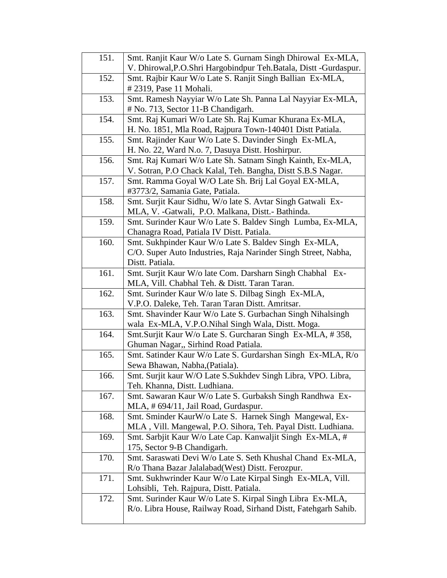| 151. | Smt. Ranjit Kaur W/o Late S. Gurnam Singh Dhirowal Ex-MLA,                                                     |
|------|----------------------------------------------------------------------------------------------------------------|
|      | V. Dhirowal, P.O.Shri Hargobindpur Teh. Batala, Distt -Gurdaspur.                                              |
| 152. | Smt. Rajbir Kaur W/o Late S. Ranjit Singh Ballian Ex-MLA,                                                      |
|      | # 2319, Pase 11 Mohali.                                                                                        |
| 153. | Smt. Ramesh Nayyiar W/o Late Sh. Panna Lal Nayyiar Ex-MLA,                                                     |
|      | # No. 713, Sector 11-B Chandigarh.                                                                             |
| 154. | Smt. Raj Kumari W/o Late Sh. Raj Kumar Khurana Ex-MLA,                                                         |
|      | H. No. 1851, Mla Road, Rajpura Town-140401 Distt Patiala.                                                      |
| 155. | Smt. Rajinder Kaur W/o Late S. Davinder Singh Ex-MLA,                                                          |
|      | H. No. 22, Ward N.o. 7, Dasuya Distt. Hoshirpur.                                                               |
| 156. | Smt. Raj Kumari W/o Late Sh. Satnam Singh Kainth, Ex-MLA,                                                      |
|      | V. Sotran, P.O Chack Kalal, Teh. Bangha, Distt S.B.S Nagar.                                                    |
| 157. | Smt. Ramma Goyal W/O Late Sh. Brij Lal Goyal EX-MLA,                                                           |
|      | #3773/2, Samania Gate, Patiala.                                                                                |
| 158. | Smt. Surjit Kaur Sidhu, W/o late S. Avtar Singh Gatwali Ex-                                                    |
|      | MLA, V. -Gatwali, P.O. Malkana, Distt. - Bathinda.                                                             |
| 159. | Smt. Surinder Kaur W/o Late S. Baldev Singh Lumba, Ex-MLA,                                                     |
|      | Chanagra Road, Patiala IV Distt. Patiala.                                                                      |
| 160. | Smt. Sukhpinder Kaur W/o Late S. Baldev Singh Ex-MLA,                                                          |
|      | C/O. Super Auto Industries, Raja Narinder Singh Street, Nabha,                                                 |
|      | Distt. Patiala.                                                                                                |
| 161. | Smt. Surjit Kaur W/o late Com. Darsharn Singh Chabhal Ex-                                                      |
|      | MLA, Vill. Chabhal Teh. & Distt. Taran Taran.                                                                  |
| 162. | Smt. Surinder Kaur W/o late S. Dilbag Singh Ex-MLA,                                                            |
|      | V.P.O. Daleke, Teh. Taran Taran Distt. Amritsar.                                                               |
| 163. | Smt. Shavinder Kaur W/o Late S. Gurbachan Singh Nihalsingh                                                     |
|      | wala Ex-MLA, V.P.O.Nihal Singh Wala, Distt. Moga.                                                              |
| 164. | Smt.Surjit Kaur W/o Late S. Gurcharan Singh Ex-MLA, #358,                                                      |
|      | Ghuman Nagar,, Sirhind Road Patiala.                                                                           |
| 165. | Smt. Satinder Kaur W/o Late S. Gurdarshan Singh Ex-MLA, R/o                                                    |
|      | Sewa Bhawan, Nabha, (Patiala).                                                                                 |
| 166. | Smt. Surjit kaur W/O Late S.Sukhdev Singh Libra, VPO. Libra,                                                   |
|      | Teh. Khanna, Distt. Ludhiana.                                                                                  |
| 167. | Smt. Sawaran Kaur W/o Late S. Gurbaksh Singh Randhwa Ex-                                                       |
|      | MLA, # 694/11, Jail Road, Gurdaspur.                                                                           |
| 168. | Smt. Sminder KaurW/o Late S. Harnek Singh Mangewal, Ex-                                                        |
|      | MLA, Vill. Mangewal, P.O. Sihora, Teh. Payal Distt. Ludhiana.                                                  |
| 169. | Smt. Sarbjit Kaur W/o Late Cap. Kanwaljit Singh Ex-MLA, #                                                      |
|      | 175, Sector 9-B Chandigarh.                                                                                    |
| 170. | Smt. Saraswati Devi W/o Late S. Seth Khushal Chand Ex-MLA,<br>R/o Thana Bazar Jalalabad(West) Distt. Ferozpur. |
|      |                                                                                                                |
| 171. | Smt. Sukhwrinder Kaur W/o Late Kirpal Singh Ex-MLA, Vill.                                                      |
| 172. | Lohsibli, Teh. Rajpura, Distt. Patiala.<br>Smt. Surinder Kaur W/o Late S. Kirpal Singh Libra Ex-MLA,           |
|      | R/o. Libra House, Railway Road, Sirhand Distt, Fatehgarh Sahib.                                                |
|      |                                                                                                                |
|      |                                                                                                                |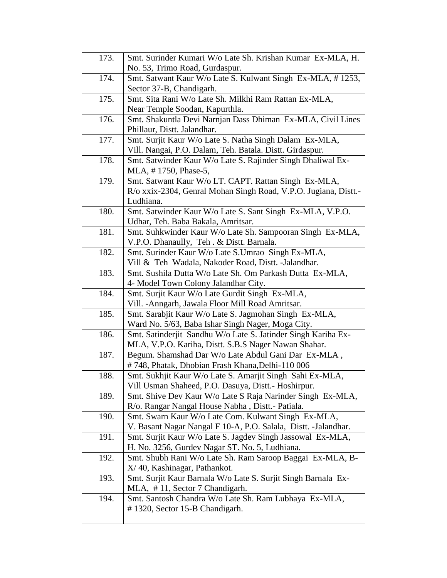| 173. | Smt. Surinder Kumari W/o Late Sh. Krishan Kumar Ex-MLA, H.      |
|------|-----------------------------------------------------------------|
|      | No. 53, Trimo Road, Gurdaspur.                                  |
| 174. | Smt. Satwant Kaur W/o Late S. Kulwant Singh Ex-MLA, #1253,      |
|      | Sector 37-B, Chandigarh.                                        |
| 175. | Smt. Sita Rani W/o Late Sh. Milkhi Ram Rattan Ex-MLA,           |
|      | Near Temple Soodan, Kapurthla.                                  |
| 176. | Smt. Shakuntla Devi Narnjan Dass Dhiman Ex-MLA, Civil Lines     |
|      | Phillaur, Distt. Jalandhar.                                     |
| 177. | Smt. Surjit Kaur W/o Late S. Natha Singh Dalam Ex-MLA,          |
|      | Vill. Nangai, P.O. Dalam, Teh. Batala. Distt. Girdaspur.        |
| 178. | Smt. Satwinder Kaur W/o Late S. Rajinder Singh Dhaliwal Ex-     |
|      | MLA, #1750, Phase-5,                                            |
| 179. | Smt. Satwant Kaur W/o LT. CAPT. Rattan Singh Ex-MLA,            |
|      | R/o xxix-2304, Genral Mohan Singh Road, V.P.O. Jugiana, Distt.- |
|      | Ludhiana.                                                       |
| 180. | Smt. Satwinder Kaur W/o Late S. Sant Singh Ex-MLA, V.P.O.       |
|      | Udhar, Teh. Baba Bakala, Amritsar.                              |
| 181. | Smt. Suhkwinder Kaur W/o Late Sh. Sampooran Singh Ex-MLA,       |
|      | V.P.O. Dhanaully, Teh. & Distt. Barnala.                        |
| 182. | Smt. Surinder Kaur W/o Late S.Umrao Singh Ex-MLA,               |
|      | Vill & Teh Wadala, Nakoder Road, Distt. -Jalandhar.             |
| 183. | Smt. Sushila Dutta W/o Late Sh. Om Parkash Dutta Ex-MLA,        |
|      | 4- Model Town Colony Jalandhar City.                            |
| 184. | Smt. Surjit Kaur W/o Late Gurdit Singh Ex-MLA,                  |
|      | Vill. - Anngarh, Jawala Floor Mill Road Amritsar.               |
| 185. | Smt. Sarabjit Kaur W/o Late S. Jagmohan Singh Ex-MLA,           |
|      | Ward No. 5/63, Baba Ishar Singh Nager, Moga City.               |
| 186. | Smt. Satinderjit Sandhu W/o Late S. Jatinder Singh Kariha Ex-   |
|      | MLA, V.P.O. Kariha, Distt. S.B.S Nager Nawan Shahar.            |
| 187. | Begum. Shamshad Dar W/o Late Abdul Gani Dar Ex-MLA,             |
|      | #748, Phatak, Dhobian Frash Khana, Delhi-110 006                |
|      |                                                                 |
| 188. | Smt. Sukhjit Kaur W/o Late S. Amarjit Singh Sahi Ex-MLA,        |
|      | Vill Usman Shaheed, P.O. Dasuya, Distt.- Hoshirpur.             |
| 189. | Smt. Shive Dev Kaur W/o Late S Raja Narinder Singh Ex-MLA,      |
|      | R/o. Rangar Nangal House Nabha, Distt.- Patiala.                |
| 190. | Smt. Swarn Kaur W/o Late Com. Kulwant Singh Ex-MLA,             |
|      | V. Basant Nagar Nangal F 10-A, P.O. Salala, Distt. - Jalandhar. |
| 191. | Smt. Surjit Kaur W/o Late S. Jagdev Singh Jassowal Ex-MLA,      |
|      | H. No. 3256, Gurdev Nagar ST. No. 5, Ludhiana.                  |
| 192. | Smt. Shubh Rani W/o Late Sh. Ram Saroop Baggai Ex-MLA, B-       |
|      | X/40, Kashinagar, Pathankot.                                    |
| 193. | Smt. Surjit Kaur Barnala W/o Late S. Surjit Singh Barnala Ex-   |
|      | MLA, #11, Sector 7 Chandigarh.                                  |
| 194. | Smt. Santosh Chandra W/o Late Sh. Ram Lubhaya Ex-MLA,           |
|      | # 1320, Sector 15-B Chandigarh.                                 |